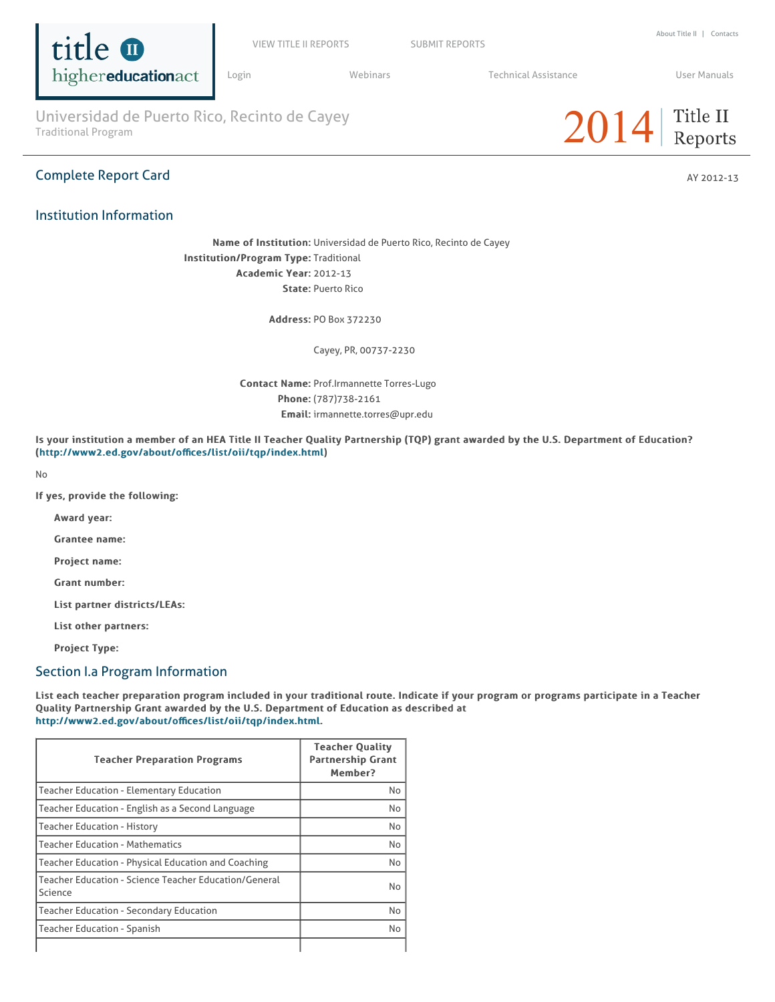

VIEW TITLE II REPORTS SUBMIT REPORTS

Login Webinars Technical Assistance User Manuals

Universidad de Puerto Rico, Recinto de Cayey<br>Traditional Program **2014** 

## **Complete Report Card** AY 2012-13

## Institution Information



Name of Institution: Universidad de Puerto Rico, Recinto de Cayey Institution/Program Type: Traditional Academic Year: 2012-13 State: Puerto Rico

Address: PO Box 372230

Cayey, PR, 00737-2230

Contact Name: Prof.Irmannette Torres-Lugo Phone: (787)738-2161 Email: irmannette.torres@upr.edu

Is your institution a member of an HEA Title II Teacher Quality Partnership (TQP) grant awarded by the U.S. Department of Education? (http://www2.ed.gov/about/offices/list/oii/tqp/index.html)

No

If yes, provide the following:

Award year:

Grantee name:

Project name:

Grant number:

List partner districts/LEAs:

List other partners:

Project Type:

### Section I.a Program Information

List each teacher preparation program included in your traditional route. Indicate if your program or programs participate in a Teacher Quality Partnership Grant awarded by the U.S. Department of Education as described at http://www2.ed.gov/about/offices/list/oii/tqp/index.html.

| <b>Teacher Preparation Programs</b>                              | <b>Teacher Quality</b><br><b>Partnership Grant</b><br>Member? |
|------------------------------------------------------------------|---------------------------------------------------------------|
| <b>Teacher Education - Elementary Education</b>                  | No                                                            |
| Teacher Education - English as a Second Language                 | No                                                            |
| <b>Teacher Education - History</b>                               | No                                                            |
| <b>Teacher Education - Mathematics</b>                           | No                                                            |
| Teacher Education - Physical Education and Coaching              | No                                                            |
| Teacher Education - Science Teacher Education/General<br>Science | N <sub>o</sub>                                                |
| <b>Teacher Education - Secondary Education</b>                   | No                                                            |
| <b>Teacher Education - Spanish</b>                               | No                                                            |
|                                                                  |                                                               |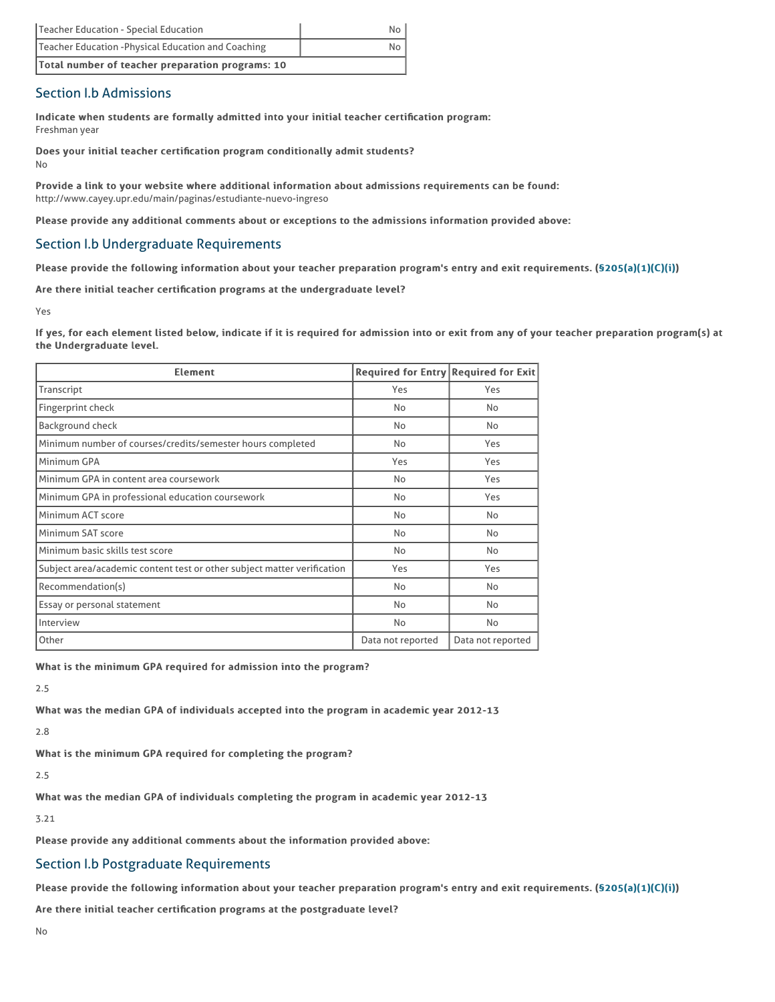| Teacher Education - Special Education               | No. |
|-----------------------------------------------------|-----|
| Teacher Education - Physical Education and Coaching | No. |
| Total number of teacher preparation programs: 10    |     |

## Section I.b Admissions

Indicate when students are formally admitted into your initial teacher certification program: Freshman year

Does your initial teacher certification program conditionally admit students? No

Provide a link to your website where additional information about admissions requirements can be found: http://www.cayey.upr.edu/main/paginas/estudiante-nuevo-ingreso

Please provide any additional comments about or exceptions to the admissions information provided above:

## Section I.b Undergraduate Requirements

Please provide the following information about your teacher preparation program's entry and exit requirements. (§205(a)(1)(C)(i))

Are there initial teacher certification programs at the undergraduate level?

Yes

If yes, for each element listed below, indicate if it is required for admission into or exit from any of your teacher preparation program(s) at the Undergraduate level.

| <b>Element</b>                                                          | Required for Entry Required for Exit |                   |
|-------------------------------------------------------------------------|--------------------------------------|-------------------|
| Transcript                                                              | Yes                                  | Yes               |
| Fingerprint check                                                       | No                                   | No                |
| Background check                                                        | No                                   | <b>No</b>         |
| Minimum number of courses/credits/semester hours completed              | No                                   | Yes               |
| Minimum GPA                                                             | Yes                                  | Yes               |
| Minimum GPA in content area coursework                                  | No                                   | Yes               |
| Minimum GPA in professional education coursework                        | No                                   | Yes               |
| Minimum ACT score                                                       | No                                   | No                |
| Minimum SAT score                                                       | No                                   | No                |
| Minimum basic skills test score                                         | No                                   | No                |
| Subject area/academic content test or other subject matter verification | Yes                                  | Yes               |
| Recommendation(s)                                                       | No                                   | No                |
| Essay or personal statement                                             | No                                   | No                |
| Interview                                                               | No                                   | No                |
| Other                                                                   | Data not reported                    | Data not reported |

What is the minimum GPA required for admission into the program?

2.5

What was the median GPA of individuals accepted into the program in academic year 2012-13

2.8

What is the minimum GPA required for completing the program?

2.5

What was the median GPA of individuals completing the program in academic year 2012-13

3.21

Please provide any additional comments about the information provided above:

### Section I.b Postgraduate Requirements

Please provide the following information about your teacher preparation program's entry and exit requirements. (\$205(a)(1)(C)(i))

Are there initial teacher certification programs at the postgraduate level?

No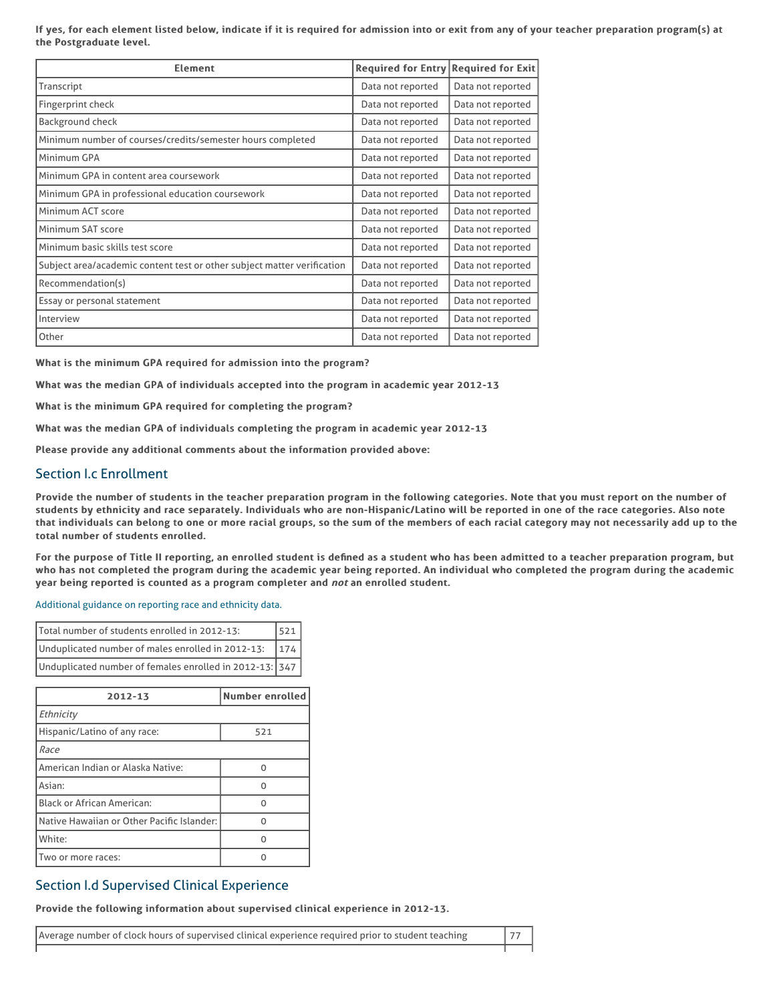If yes, for each element listed below, indicate if it is required for admission into or exit from any of your teacher preparation program(s) at the Postgraduate level.

| <b>Element</b>                                                          | <b>Required for Entry</b> | <b>Required for Exit</b> |
|-------------------------------------------------------------------------|---------------------------|--------------------------|
| Transcript                                                              | Data not reported         | Data not reported        |
| Fingerprint check                                                       | Data not reported         | Data not reported        |
| <b>Background check</b>                                                 | Data not reported         | Data not reported        |
| Minimum number of courses/credits/semester hours completed              | Data not reported         | Data not reported        |
| Minimum GPA                                                             | Data not reported         | Data not reported        |
| Minimum GPA in content area coursework                                  | Data not reported         | Data not reported        |
| Minimum GPA in professional education coursework                        | Data not reported         | Data not reported        |
| Minimum ACT score                                                       | Data not reported         | Data not reported        |
| Minimum SAT score                                                       | Data not reported         | Data not reported        |
| Minimum basic skills test score                                         | Data not reported         | Data not reported        |
| Subject area/academic content test or other subject matter verification | Data not reported         | Data not reported        |
| Recommendation(s)                                                       | Data not reported         | Data not reported        |
| Essay or personal statement                                             | Data not reported         | Data not reported        |
| Interview                                                               | Data not reported         | Data not reported        |
| Other                                                                   | Data not reported         | Data not reported        |

What is the minimum GPA required for admission into the program?

What was the median GPA of individuals accepted into the program in academic year 2012-13

What is the minimum GPA required for completing the program?

What was the median GPA of individuals completing the program in academic year 2012-13

Please provide any additional comments about the information provided above:

### Section I.c Enrollment

Provide the number of students in the teacher preparation program in the following categories. Note that you must report on the number of students by ethnicity and race separately. Individuals who are non-Hispanic/Latino will be reported in one of the race categories. Also note that individuals can belong to one or more racial groups, so the sum of the members of each racial category may not necessarily add up to the total number of students enrolled.

For the purpose of Title II reporting, an enrolled student is defined as a student who has been admitted to a teacher preparation program, but who has not completed the program during the academic year being reported. An individual who completed the program during the academic year being reported is counted as a program completer and not an enrolled student.

Additional guidance on reporting race and ethnicity data.

| Total number of students enrolled in 2012-13:           | 15211 |
|---------------------------------------------------------|-------|
| Unduplicated number of males enrolled in 2012-13:       | 174   |
| Unduplicated number of females enrolled in 2012-13: 347 |       |

| 2012-13                                    | <b>Number enrolled</b> |
|--------------------------------------------|------------------------|
| Ethnicity                                  |                        |
| Hispanic/Latino of any race:               | 521                    |
| Race                                       |                        |
| American Indian or Alaska Native:          | O                      |
| Asian:                                     | O                      |
| Black or African American:                 | O                      |
| Native Hawaiian or Other Pacific Islander: | n                      |
| White:                                     | O                      |
| Two or more races:                         | n                      |

### Section I.d Supervised Clinical Experience

Provide the following information about supervised clinical experience in 2012-13.

Average number of clock hours of supervised clinical experience required prior to student teaching  $\vert$  77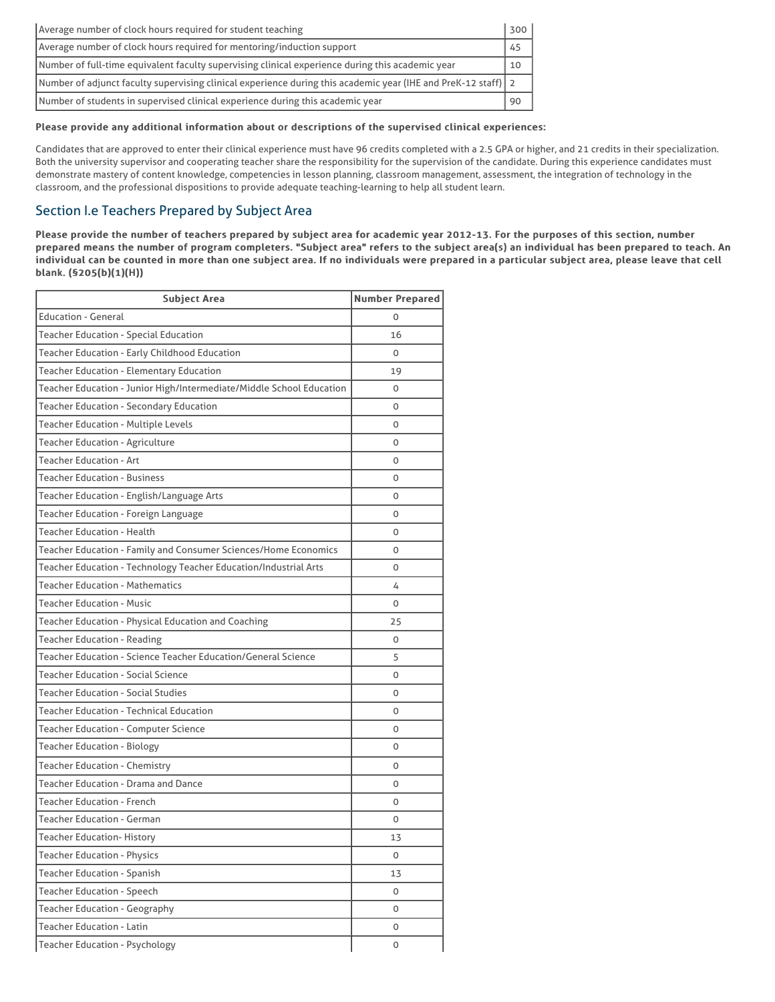| Average number of clock hours required for student teaching                                                   | 300 |
|---------------------------------------------------------------------------------------------------------------|-----|
| Average number of clock hours required for mentoring/induction support                                        | 45  |
| Number of full-time equivalent faculty supervising clinical experience during this academic year              | 10  |
| Number of adjunct faculty supervising clinical experience during this academic year (IHE and PreK-12 staff) 2 |     |
| Number of students in supervised clinical experience during this academic year                                | 90  |

#### Please provide any additional information about or descriptions of the supervised clinical experiences:

Candidates that are approved to enter their clinical experience must have 96 credits completed with a 2.5 GPA or higher, and 21 credits in their specialization. Both the university supervisor and cooperating teacher share the responsibility for the supervision of the candidate. During this experience candidates must demonstrate mastery of content knowledge, competencies in lesson planning, classroom management, assessment, the integration of technology in the classroom, and the professional dispositions to provide adequate teaching-learning to help all student learn.

## Section I.e Teachers Prepared by Subject Area

Please provide the number of teachers prepared by subject area for academic year 2012-13. For the purposes of this section, number prepared means the number of program completers. "Subject area" refers to the subject area(s) an individual has been prepared to teach. An individual can be counted in more than one subject area. If no individuals were prepared in a particular subject area, please leave that cell blank. (§205(b)(1)(H)) blank. (§205(b)(1)(H))

| <b>Subject Area</b>                                                  | <b>Number Prepared</b> |
|----------------------------------------------------------------------|------------------------|
| <b>Education - General</b>                                           | O                      |
| <b>Teacher Education - Special Education</b>                         | 16                     |
| Teacher Education - Early Childhood Education                        | 0                      |
| <b>Teacher Education - Elementary Education</b>                      | 19                     |
| Teacher Education - Junior High/Intermediate/Middle School Education | 0                      |
| <b>Teacher Education - Secondary Education</b>                       | 0                      |
| Teacher Education - Multiple Levels                                  | O                      |
| <b>Teacher Education - Agriculture</b>                               | 0                      |
| <b>Teacher Education - Art</b>                                       | O                      |
| <b>Teacher Education - Business</b>                                  | O                      |
| Teacher Education - English/Language Arts                            | 0                      |
| Teacher Education - Foreign Language                                 | 0                      |
| <b>Teacher Education - Health</b>                                    | O                      |
| Teacher Education - Family and Consumer Sciences/Home Economics      | 0                      |
| Teacher Education - Technology Teacher Education/Industrial Arts     | O                      |
| <b>Teacher Education - Mathematics</b>                               | 4                      |
| <b>Teacher Education - Music</b>                                     | 0                      |
| Teacher Education - Physical Education and Coaching                  | 25                     |
| <b>Teacher Education - Reading</b>                                   | 0                      |
| Teacher Education - Science Teacher Education/General Science        | 5                      |
| <b>Teacher Education - Social Science</b>                            | O                      |
| <b>Teacher Education - Social Studies</b>                            | 0                      |
| <b>Teacher Education - Technical Education</b>                       | 0                      |
| <b>Teacher Education - Computer Science</b>                          | O                      |
| <b>Teacher Education - Biology</b>                                   | O                      |
| <b>Teacher Education - Chemistry</b>                                 | O                      |
| <b>Teacher Education - Drama and Dance</b>                           | 0                      |
| <b>Teacher Education - French</b>                                    | O                      |
| <b>Teacher Education - German</b>                                    | 0                      |
| <b>Teacher Education- History</b>                                    | 13                     |
| <b>Teacher Education - Physics</b>                                   | 0                      |
| <b>Teacher Education - Spanish</b>                                   | 13                     |
| <b>Teacher Education - Speech</b>                                    | 0                      |
| <b>Teacher Education - Geography</b>                                 | 0                      |
| <b>Teacher Education - Latin</b>                                     | 0                      |
| <b>Teacher Education - Psychology</b>                                | 0                      |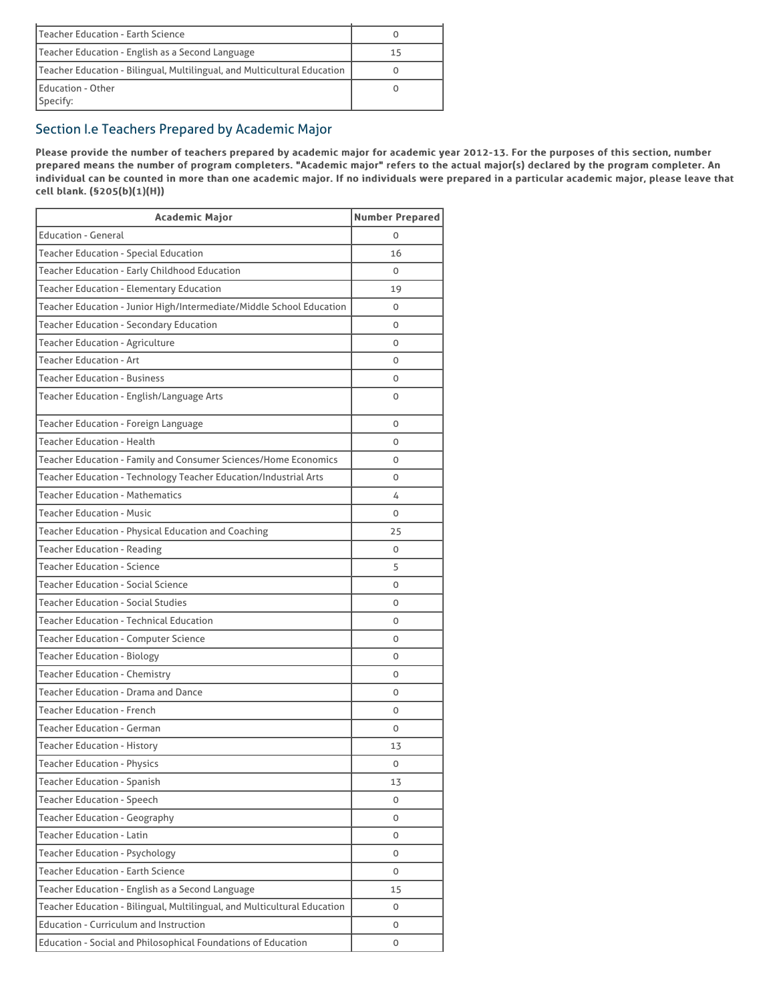| Teacher Education - Earth Science                                        |    |
|--------------------------------------------------------------------------|----|
| Teacher Education - English as a Second Language                         | 15 |
| Teacher Education - Bilingual, Multilingual, and Multicultural Education |    |
| Education - Other<br>Specify:                                            |    |

# Section I.e Teachers Prepared by Academic Major

Please provide the number of teachers prepared by academic major for academic year 2012-13. For the purposes of this section, number prepared means the number of program completers. "Academic major" refers to the actual major(s) declared by the program completer. An individual can be counted in more than one academic major. If no individuals were prepared in a particular academic major, please leave that cell blank. (§205(b)(1)(H))

| <b>Academic Major</b>                                                    | <b>Number Prepared</b> |
|--------------------------------------------------------------------------|------------------------|
| <b>Education - General</b>                                               | 0                      |
| <b>Teacher Education - Special Education</b>                             | 16                     |
| Teacher Education - Early Childhood Education                            | 0                      |
| <b>Teacher Education - Elementary Education</b>                          | 19                     |
| Teacher Education - Junior High/Intermediate/Middle School Education     | 0                      |
| <b>Teacher Education - Secondary Education</b>                           | 0                      |
| <b>Teacher Education - Agriculture</b>                                   | 0                      |
| <b>Teacher Education - Art</b>                                           | 0                      |
| <b>Teacher Education - Business</b>                                      | $\Omega$               |
| Teacher Education - English/Language Arts                                | 0                      |
| Teacher Education - Foreign Language                                     | 0                      |
| <b>Teacher Education - Health</b>                                        | 0                      |
| Teacher Education - Family and Consumer Sciences/Home Economics          | 0                      |
| Teacher Education - Technology Teacher Education/Industrial Arts         | 0                      |
| <b>Teacher Education - Mathematics</b>                                   | 4                      |
| <b>Teacher Education - Music</b>                                         | 0                      |
| Teacher Education - Physical Education and Coaching                      | 25                     |
| <b>Teacher Education - Reading</b>                                       | 0                      |
| <b>Teacher Education - Science</b>                                       | 5                      |
| <b>Teacher Education - Social Science</b>                                | 0                      |
| <b>Teacher Education - Social Studies</b>                                | 0                      |
| Teacher Education - Technical Education                                  | 0                      |
| <b>Teacher Education - Computer Science</b>                              | 0                      |
| <b>Teacher Education - Biology</b>                                       | 0                      |
| <b>Teacher Education - Chemistry</b>                                     | 0                      |
| Teacher Education - Drama and Dance                                      | 0                      |
| <b>Teacher Education - French</b>                                        | 0                      |
| <b>Teacher Education - German</b>                                        | 0                      |
| <b>Teacher Education - History</b>                                       | 13                     |
| <b>Teacher Education - Physics</b>                                       | 0                      |
| <b>Teacher Education - Spanish</b>                                       | 13                     |
| <b>Teacher Education - Speech</b>                                        | 0                      |
| <b>Teacher Education - Geography</b>                                     | 0                      |
| <b>Teacher Education - Latin</b>                                         | 0                      |
| <b>Teacher Education - Psychology</b>                                    | 0                      |
| <b>Teacher Education - Earth Science</b>                                 | 0                      |
| Teacher Education - English as a Second Language                         | 15                     |
| Teacher Education - Bilingual, Multilingual, and Multicultural Education | 0                      |
| <b>Education - Curriculum and Instruction</b>                            | 0                      |
| Education - Social and Philosophical Foundations of Education            | 0                      |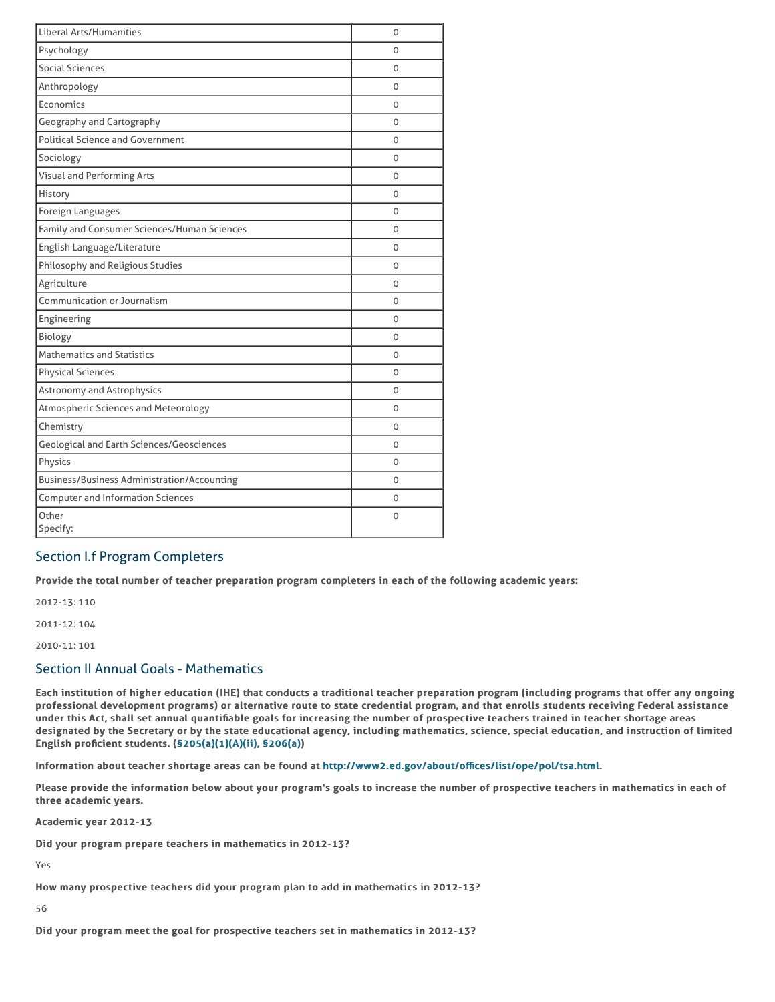| <b>Liberal Arts/Humanities</b>                     | O        |
|----------------------------------------------------|----------|
| Psychology                                         | O        |
| Social Sciences                                    | 0        |
| Anthropology                                       | 0        |
| Economics                                          | 0        |
| Geography and Cartography                          | O        |
| <b>Political Science and Government</b>            | $\Omega$ |
| Sociology                                          | O        |
| Visual and Performing Arts                         | 0        |
| History                                            | 0        |
| Foreign Languages                                  | 0        |
| Family and Consumer Sciences/Human Sciences        | 0        |
| English Language/Literature                        | O        |
| Philosophy and Religious Studies                   | O        |
| Agriculture                                        | 0        |
| Communication or Journalism                        | 0        |
| Engineering                                        | 0        |
| Biology                                            | 0        |
| <b>Mathematics and Statistics</b>                  | O        |
| <b>Physical Sciences</b>                           | $\Omega$ |
| <b>Astronomy and Astrophysics</b>                  | O        |
| Atmospheric Sciences and Meteorology               | 0        |
| Chemistry                                          | 0        |
| <b>Geological and Earth Sciences/Geosciences</b>   | 0        |
| Physics                                            | O        |
| <b>Business/Business Administration/Accounting</b> | 0        |
| <b>Computer and Information Sciences</b>           | $\Omega$ |
| Other<br>Specify:                                  | 0        |

## Section I.f Program Completers

Provide the total number of teacher preparation program completers in each of the following academic years:

2012-13: 110 2011-12: 104

2010-11: 101

## Section II Annual Goals - Mathematics

Each institution of higher education (IHE) that conducts a traditional teacher preparation program (including programs that offer any ongoing professional development programs) or alternative route to state credential program, and that enrolls students receiving Federal assistance under this Act, shall set annual quantifiable goals for increasing the number of prospective teachers trained in teacher shortage areas designated by the Secretary or by the state educational agency, including mathematics, science, special education, and instruction of limited English proficient students. (§205(a)(1)(A)(ii), §206(a))

Information about teacher shortage areas can be found at http://www2.ed.gov/about/offices/list/ope/pol/tsa.html.

Please provide the information below about your program's goals to increase the number of prospective teachers in mathematics in each of three academic years.

Academic year 2012-13

Did your program prepare teachers in mathematics in 2012-13?

Yes

How many prospective teachers did your program plan to add in mathematics in 2012-13?

56

Did your program meet the goal for prospective teachers set in mathematics in 2012-13?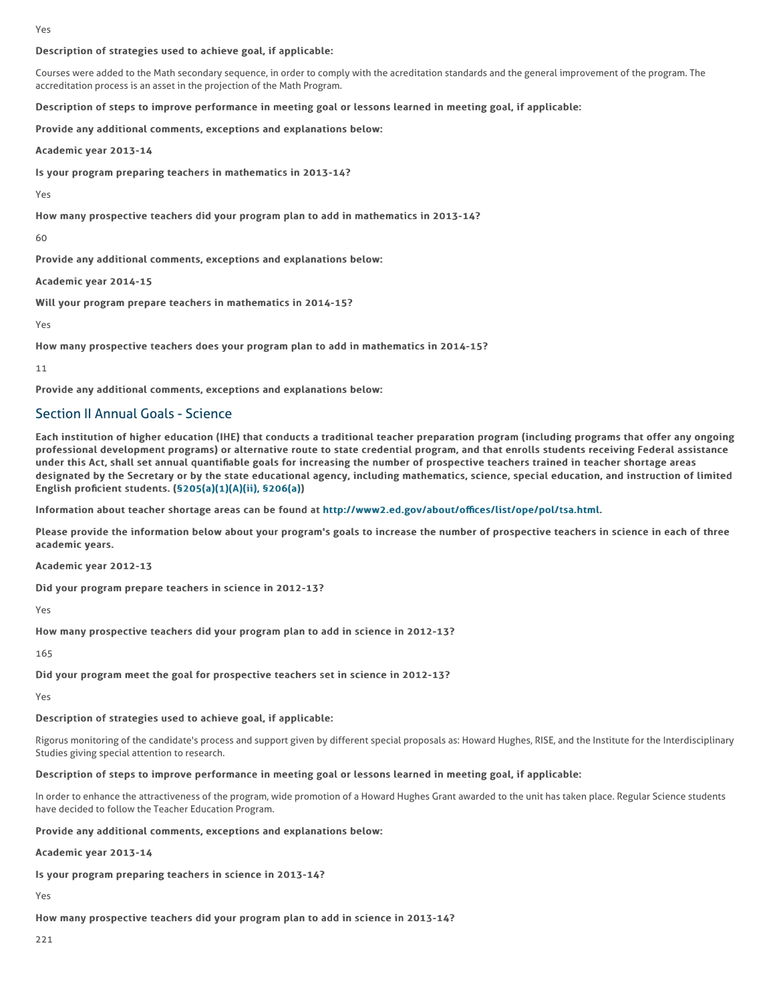Yes

#### Description of strategies used to achieve goal, if applicable:

Courses were added to the Math secondary sequence, in order to comply with the acreditation standards and the general improvement of the program. The accreditation process is an asset in the projection of the Math Program.

Description of steps to improve performance in meeting goal or lessons learned in meeting goal, if applicable:

Provide any additional comments, exceptions and explanations below:

Academic year 2013-14

Is your program preparing teachers in mathematics in 2013-14?

Yes

How many prospective teachers did your program plan to add in mathematics in 2013-14?

60

Provide any additional comments, exceptions and explanations below:

Academic year 2014-15

Will your program prepare teachers in mathematics in 2014-15?

Yes

How many prospective teachers does your program plan to add in mathematics in 2014-15?

11

Provide any additional comments, exceptions and explanations below:

### Section II Annual Goals - Science

Each institution of higher education (IHE) that conducts a traditional teacher preparation program (including programs that offer any ongoing professional development programs) or alternative route to state credential program, and that enrolls students receiving Federal assistance under this Act, shall set annual quantifiable goals for increasing the number of prospective teachers trained in teacher shortage areas designated by the Secretary or by the state educational agency, including mathematics, science, special education, and instruction of limited English proficient students.  $(§205(a)(1)(A)(ii)$ , §206(a))

Information about teacher shortage areas can be found at http://www2.ed.gov/about/offices/list/ope/pol/tsa.html.

Please provide the information below about your program's goals to increase the number of prospective teachers in science in each of three academic years.

Academic year 2012-13

Did your program prepare teachers in science in 2012-13?

Yes

How many prospective teachers did your program plan to add in science in 2012-13?

165

Did your program meet the goal for prospective teachers set in science in 2012-13?

Yes

#### Description of strategies used to achieve goal, if applicable:

Rigorus monitoring of the candidate's process and support given by different special proposals as: Howard Hughes, RISE, and the Institute for the Interdisciplinary Studies giving special attention to research.

#### Description of steps to improve performance in meeting goal or lessons learned in meeting goal, if applicable:

In order to enhance the attractiveness of the program, wide promotion of a Howard Hughes Grant awarded to the unit has taken place. Regular Science students have decided to follow the Teacher Education Program.

#### Provide any additional comments, exceptions and explanations below:

Academic year 2013-14

Is your program preparing teachers in science in 2013-14?

Yes

How many prospective teachers did your program plan to add in science in 2013-14?

221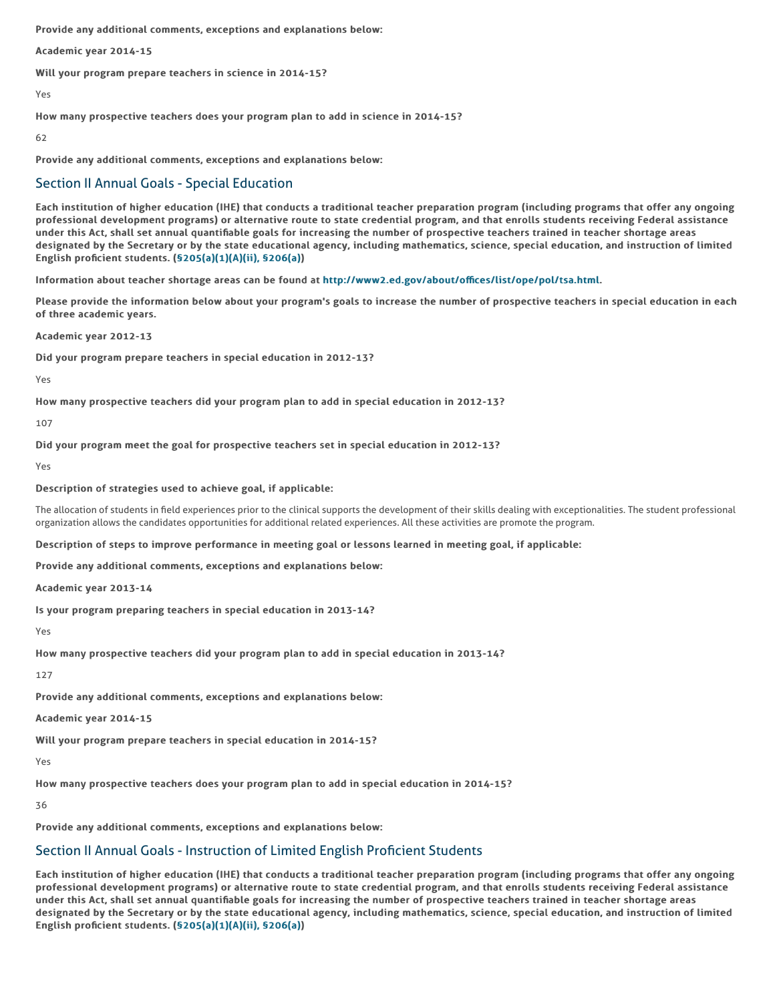Provide any additional comments, exceptions and explanations below:

Academic year 2014-15

Will your program prepare teachers in science in 2014-15?

Yes

How many prospective teachers does your program plan to add in science in 2014-15?

62

Provide any additional comments, exceptions and explanations below:

### Section II Annual Goals - Special Education

Each institution of higher education (IHE) that conducts a traditional teacher preparation program (including programs that offer any ongoing professional development programs) or alternative route to state credential program, and that enrolls students receiving Federal assistance under this Act, shall set annual quantifiable goals for increasing the number of prospective teachers trained in teacher shortage areas designated by the Secretary or by the state educational agency, including mathematics, science, special education, and instruction of limited English proficient students. (§205(a)(1)(A)(ii), §206(a))

Information about teacher shortage areas can be found at http://www2.ed.gov/about/offices/list/ope/pol/tsa.html.

Please provide the information below about your program's goals to increase the number of prospective teachers in special education in each of three academic years.

Academic year 2012-13

Did your program prepare teachers in special education in 2012-13?

Yes

How many prospective teachers did your program plan to add in special education in 2012-13?

107

Did your program meet the goal for prospective teachers set in special education in 2012-13?

Yes

#### Description of strategies used to achieve goal, if applicable:

The allocation of students in field experiences prior to the clinical supports the development of their skills dealing with exceptionalities. The student professional organization allows the candidates opportunities for additional related experiences. All these activities are promote the program.

Description of steps to improve performance in meeting goal or lessons learned in meeting goal, if applicable:

Provide any additional comments, exceptions and explanations below:

Academic year 2013-14

Is your program preparing teachers in special education in 2013-14?

Yes

How many prospective teachers did your program plan to add in special education in 2013-14?

127

Provide any additional comments, exceptions and explanations below:

Academic year 2014-15

Will your program prepare teachers in special education in 2014-15?

Yes

How many prospective teachers does your program plan to add in special education in 2014-15?

36

Provide any additional comments, exceptions and explanations below:

## Section II Annual Goals - Instruction of Limited English Proficient Students

Each institution of higher education (IHE) that conducts a traditional teacher preparation program (including programs that offer any ongoing professional development programs) or alternative route to state credential program, and that enrolls students receiving Federal assistance under this Act, shall set annual quantifiable goals for increasing the number of prospective teachers trained in teacher shortage areas designated by the Secretary or by the state educational agency, including mathematics, science, special education, and instruction of limited English proficient students. (§205(a)(1)(A)(ii), §206(a))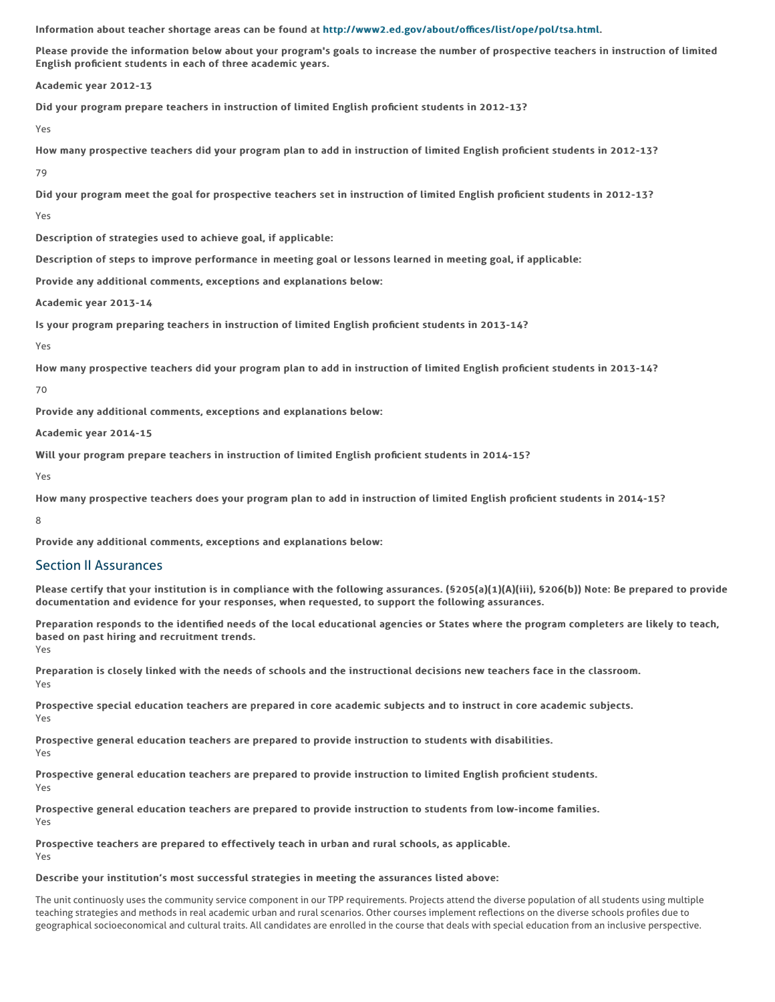Information about teacher shortage areas can be found at http://www2.ed.gov/about/offices/list/ope/pol/tsa.html.

Please provide the information below about your program's goals to increase the number of prospective teachers in instruction of limited English proficient students in each of three academic years.

Academic year 2012-13

Did your program prepare teachers in instruction of limited English proficient students in 2012-13?

Yes

How many prospective teachers did your program plan to add in instruction of limited English proficient students in 2012-13?

79

Did your program meet the goal for prospective teachers set in instruction of limited English proficient students in 2012-13?

Yes

Description of strategies used to achieve goal, if applicable:

Description of steps to improve performance in meeting goal or lessons learned in meeting goal, if applicable:

Provide any additional comments, exceptions and explanations below:

Academic year 2013-14

Is your program preparing teachers in instruction of limited English proficient students in 2013-14?

Yes

How many prospective teachers did your program plan to add in instruction of limited English proficient students in 2013-14?

#### 70

Provide any additional comments, exceptions and explanations below:

Academic year 2014-15

Will your program prepare teachers in instruction of limited English proficient students in 2014-15?

Yes

How many prospective teachers does your program plan to add in instruction of limited English proficient students in 2014-15?

8

Provide any additional comments, exceptions and explanations below:

### Section II Assurances

Please certify that your institution is in compliance with the following assurances. (\$205(a)(1)(A)(iii), \$206(b)) Note: Be prepared to provide documentation and evidence for your responses, when requested, to support the following assurances.

Preparation responds to the identified needs of the local educational agencies or States where the program completers are likely to teach, based on past hiring and recruitment trends. Yes

Preparation is closely linked with the needs of schools and the instructional decisions new teachers face in the classroom. Yes

Prospective special education teachers are prepared in core academic subjects and to instruct in core academic subjects. Yes

Prospective general education teachers are prepared to provide instruction to students with disabilities.

Yes

Prospective general education teachers are prepared to provide instruction to limited English proficient students. Yes

Prospective general education teachers are prepared to provide instruction to students from low-income families. Yes

Prospective teachers are prepared to effectively teach in urban and rural schools, as applicable. Yes

#### Describe your institution's most successful strategies in meeting the assurances listed above:

The unit continuosly uses the community service component in our TPP requirements. Projects attend the diverse population of all students using multiple teaching strategies and methods in real academic urban and rural scenarios. Other courses implement reflections on the diverse schools profiles due to geographical socioeconomical and cultural traits. All candidates are enrolled in the course that deals with special education from an inclusive perspective.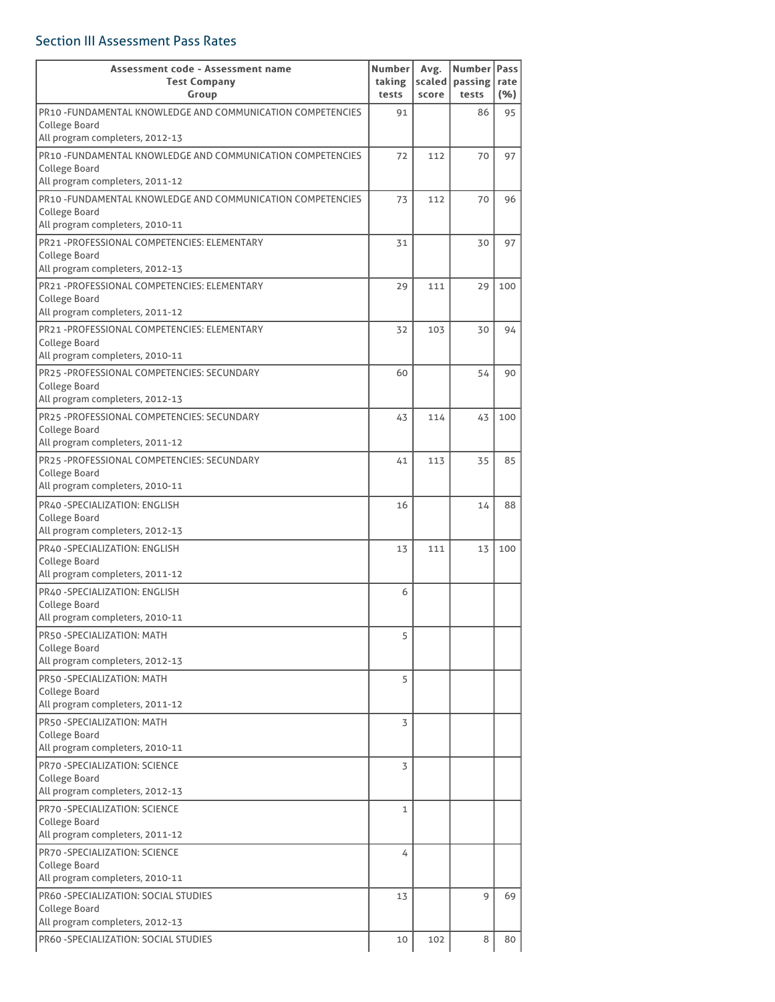# Section III Assessment Pass Rates

| Assessment code - Assessment name<br><b>Test Company</b>   | Number<br>taking | Avg.<br>scaled | Number   Pass<br>passing rate |     |
|------------------------------------------------------------|------------------|----------------|-------------------------------|-----|
| Group                                                      | tests            | score          | tests                         | (%) |
| PR10 -FUNDAMENTAL KNOWLEDGE AND COMMUNICATION COMPETENCIES | 91               |                | 86                            | 95  |
| College Board                                              |                  |                |                               |     |
| All program completers, 2012-13                            |                  |                |                               |     |
| PR10 -FUNDAMENTAL KNOWLEDGE AND COMMUNICATION COMPETENCIES | 72               | 112            | 70                            | 97  |
| College Board<br>All program completers, 2011-12           |                  |                |                               |     |
| PR10 -FUNDAMENTAL KNOWLEDGE AND COMMUNICATION COMPETENCIES | 73               | 112            | 70                            | 96  |
| College Board                                              |                  |                |                               |     |
| All program completers, 2010-11                            |                  |                |                               |     |
| PR21-PROFESSIONAL COMPETENCIES: ELEMENTARY                 | 31               |                | 30                            | 97  |
| College Board                                              |                  |                |                               |     |
| All program completers, 2012-13                            |                  |                |                               |     |
| PR21-PROFESSIONAL COMPETENCIES: ELEMENTARY                 | 29               | 111            | 29                            | 100 |
| College Board                                              |                  |                |                               |     |
| All program completers, 2011-12                            |                  |                |                               |     |
| PR21-PROFESSIONAL COMPETENCIES: ELEMENTARY                 | 32               | 103            | 30                            | 94  |
| College Board<br>All program completers, 2010-11           |                  |                |                               |     |
| PR25 -PROFESSIONAL COMPETENCIES: SECUNDARY                 | 60               |                | 54                            | 90  |
| College Board                                              |                  |                |                               |     |
| All program completers, 2012-13                            |                  |                |                               |     |
| PR25 -PROFESSIONAL COMPETENCIES: SECUNDARY                 | 43               | 114            | 43                            | 100 |
| College Board                                              |                  |                |                               |     |
| All program completers, 2011-12                            |                  |                |                               |     |
| PR25 -PROFESSIONAL COMPETENCIES: SECUNDARY                 | 41               | 113            | 35                            | 85  |
| College Board                                              |                  |                |                               |     |
| All program completers, 2010-11                            |                  |                |                               |     |
| PR40 - SPECIALIZATION: ENGLISH                             | 16               |                | 14                            | 88  |
| College Board<br>All program completers, 2012-13           |                  |                |                               |     |
| PR40 -SPECIALIZATION: ENGLISH                              |                  |                |                               |     |
| College Board                                              | 13               | 111            | 13                            | 100 |
| All program completers, 2011-12                            |                  |                |                               |     |
| PR40 -SPECIALIZATION: ENGLISH                              | 6                |                |                               |     |
| College Board                                              |                  |                |                               |     |
| All program completers, 2010-11                            |                  |                |                               |     |
| PR50 - SPECIALIZATION: MATH                                | 5                |                |                               |     |
| College Board                                              |                  |                |                               |     |
| All program completers, 2012-13                            |                  |                |                               |     |
| PR50-SPECIALIZATION: MATH                                  | 5                |                |                               |     |
| College Board<br>All program completers, 2011-12           |                  |                |                               |     |
|                                                            |                  |                |                               |     |
| PR50 - SPECIALIZATION: MATH<br>College Board               | 3                |                |                               |     |
| All program completers, 2010-11                            |                  |                |                               |     |
| PR70 -SPECIALIZATION: SCIENCE                              | 3                |                |                               |     |
| College Board                                              |                  |                |                               |     |
| All program completers, 2012-13                            |                  |                |                               |     |
| PR70 -SPECIALIZATION: SCIENCE                              | 1                |                |                               |     |
| College Board                                              |                  |                |                               |     |
| All program completers, 2011-12                            |                  |                |                               |     |
| PR70 -SPECIALIZATION: SCIENCE                              | 4                |                |                               |     |
| College Board                                              |                  |                |                               |     |
| All program completers, 2010-11                            |                  |                |                               |     |
| PR60 -SPECIALIZATION: SOCIAL STUDIES<br>College Board      | 13               |                | 9                             | 69  |
| All program completers, 2012-13                            |                  |                |                               |     |
| PR60 -SPECIALIZATION: SOCIAL STUDIES                       |                  |                | 8                             | 80  |
|                                                            | 10               | 102            |                               |     |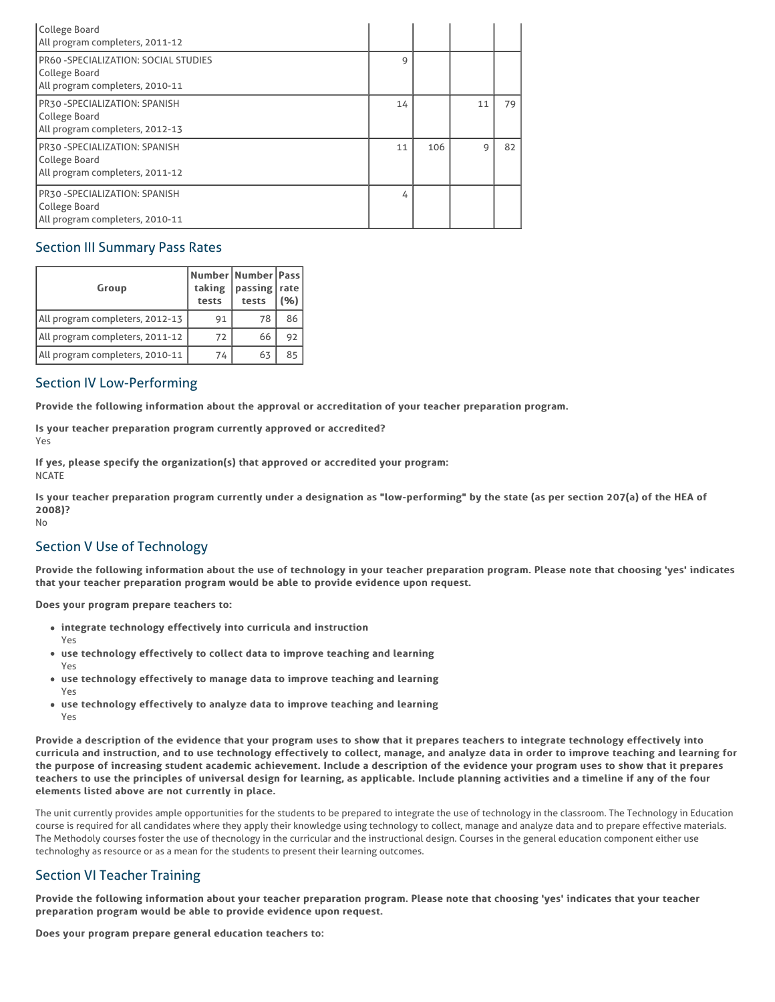| College Board<br>All program completers, 2011-12                                          |    |     |    |    |
|-------------------------------------------------------------------------------------------|----|-----|----|----|
| PR60 - SPECIALIZATION: SOCIAL STUDIES<br>College Board<br>All program completers, 2010-11 | 9  |     |    |    |
| PR30 - SPECIALIZATION: SPANISH<br>College Board<br>All program completers, 2012-13        | 14 |     | 11 | 79 |
| PR30-SPECIALIZATION: SPANISH<br>College Board<br>All program completers, 2011-12          | 11 | 106 | 9  | 82 |
| PR30 - SPECIALIZATION: SPANISH<br>College Board<br>All program completers, 2010-11        | 4  |     |    |    |

## Section III Summary Pass Rates

| Group                           | taking<br>tests | Number   Number   Pass  <br>passing   rate<br>tests | (%) |
|---------------------------------|-----------------|-----------------------------------------------------|-----|
| All program completers, 2012-13 | 91              | 78                                                  | 86  |
| All program completers, 2011-12 | 72              | 66                                                  | 92  |
| All program completers, 2010-11 | 74              | 63                                                  | 85  |

## Section IV Low-Performing

Provide the following information about the approval or accreditation of your teacher preparation program.

Is your teacher preparation program currently approved or accredited? Yes

If yes, please specify the organization(s) that approved or accredited your program: **NCATE** 

Is your teacher preparation program currently under a designation as "low-performing" by the state (as per section 207(a) of the HEA of 2008)? No

# Section V Use of Technology

Provide the following information about the use of technology in your teacher preparation program. Please note that choosing 'yes' indicates that your teacher preparation program would be able to provide evidence upon request.

Does your program prepare teachers to:

- integrate technology effectively into curricula and instruction
- use technology effectively to collect data to improve teaching and learning
- Yes

Yes

- use technology effectively to manage data to improve teaching and learning Yes
- use technology effectively to analyze data to improve teaching and learning Yes

Provide a description of the evidence that your program uses to show that it prepares teachers to integrate technology effectively into curricula and instruction, and to use technology effectively to collect, manage, and analyze data in order to improve teaching and learning for the purpose of increasing student academic achievement. Include a description of the evidence your program uses to show that it prepares teachers to use the principles of universal design for learning, as applicable. Include planning activities and a timeline if any of the four elements listed above are not currently in place.

The unit currently provides ample opportunities for the students to be prepared to integrate the use of technology in the classroom. The Technology in Education course is required for all candidates where they apply their knowledge using technology to collect, manage and analyze data and to prepare effective materials. The Methodoly courses foster the use of thecnology in the curricular and the instructional design. Courses in the general education component either use technologhy as resource or as a mean for the students to present their learning outcomes.

## Section VI Teacher Training

Provide the following information about your teacher preparation program. Please note that choosing 'yes' indicates that your teacher preparation program would be able to provide evidence upon request.

Does your program prepare general education teachers to: